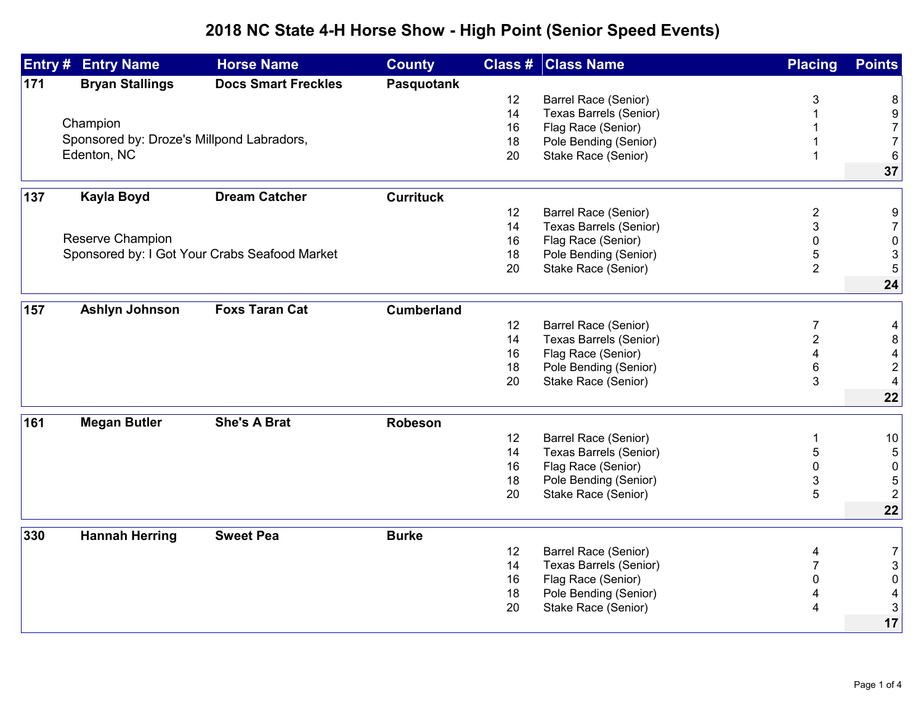## **2018 NC State 4-H Horse Show - High Point (Senior Speed Events)**

|     | <b>Entry # Entry Name</b>                 | <b>Horse Name</b>                             | <b>County</b>     |    | <b>Class # Class Name</b>     | <b>Placing</b> | <b>Points</b>                         |
|-----|-------------------------------------------|-----------------------------------------------|-------------------|----|-------------------------------|----------------|---------------------------------------|
| 171 | <b>Bryan Stallings</b>                    | <b>Docs Smart Freckles</b>                    | <b>Pasquotank</b> |    |                               |                |                                       |
|     |                                           |                                               |                   | 12 | Barrel Race (Senior)          | 3              | 8                                     |
|     |                                           |                                               |                   | 14 | Texas Barrels (Senior)        |                | $\boldsymbol{9}$                      |
|     | Champion                                  |                                               |                   | 16 | Flag Race (Senior)            |                | $\overline{7}$                        |
|     | Sponsored by: Droze's Millpond Labradors, |                                               |                   | 18 | Pole Bending (Senior)         |                | $\overline{7}$                        |
|     | Edenton, NC                               |                                               |                   | 20 | Stake Race (Senior)           |                | $6\phantom{1}6$                       |
|     |                                           |                                               |                   |    |                               |                | 37                                    |
| 137 | <b>Kayla Boyd</b>                         | <b>Dream Catcher</b>                          | <b>Currituck</b>  |    |                               |                |                                       |
|     |                                           |                                               |                   | 12 | Barrel Race (Senior)          | 2              | 9                                     |
|     |                                           |                                               |                   | 14 | Texas Barrels (Senior)        | 3              | $\boldsymbol{7}$                      |
|     | Reserve Champion                          |                                               |                   | 16 | Flag Race (Senior)            | 0              | $\pmb{0}$                             |
|     |                                           | Sponsored by: I Got Your Crabs Seafood Market |                   | 18 | Pole Bending (Senior)         | 5              | 3                                     |
|     |                                           |                                               |                   | 20 | Stake Race (Senior)           | $\overline{2}$ | 5                                     |
|     |                                           |                                               |                   |    |                               |                | 24                                    |
| 157 | Ashlyn Johnson                            | <b>Foxs Taran Cat</b>                         | <b>Cumberland</b> |    |                               |                |                                       |
|     |                                           |                                               |                   | 12 | Barrel Race (Senior)          | 7              | 4                                     |
|     |                                           |                                               |                   | 14 | <b>Texas Barrels (Senior)</b> | $\overline{2}$ | $\bf 8$                               |
|     |                                           |                                               |                   | 16 | Flag Race (Senior)            | 4              | $\overline{\mathbf{r}}$               |
|     |                                           |                                               |                   | 18 | Pole Bending (Senior)         | 6              | $\overline{c}$                        |
|     |                                           |                                               |                   | 20 | Stake Race (Senior)           | 3              | 4                                     |
|     |                                           |                                               |                   |    |                               |                | 22                                    |
| 161 | <b>Megan Butler</b>                       | <b>She's A Brat</b>                           | <b>Robeson</b>    |    |                               |                |                                       |
|     |                                           |                                               |                   | 12 | <b>Barrel Race (Senior)</b>   |                |                                       |
|     |                                           |                                               |                   | 14 | <b>Texas Barrels (Senior)</b> | 5              | 10<br>$\sqrt{5}$                      |
|     |                                           |                                               |                   | 16 | Flag Race (Senior)            | 0              | $\pmb{0}$                             |
|     |                                           |                                               |                   | 18 | Pole Bending (Senior)         | 3              | 5                                     |
|     |                                           |                                               |                   | 20 | Stake Race (Senior)           | 5              | $\overline{2}$                        |
|     |                                           |                                               |                   |    |                               |                | 22                                    |
| 330 | <b>Hannah Herring</b>                     | <b>Sweet Pea</b>                              | <b>Burke</b>      |    |                               |                |                                       |
|     |                                           |                                               |                   | 12 | Barrel Race (Senior)          |                |                                       |
|     |                                           |                                               |                   | 14 | <b>Texas Barrels (Senior)</b> | 4              | $\begin{array}{c} 7 \\ 3 \end{array}$ |
|     |                                           |                                               |                   | 16 | Flag Race (Senior)            | 0              | $\pmb{0}$                             |
|     |                                           |                                               |                   | 18 | Pole Bending (Senior)         |                | $\overline{\mathbf{4}}$               |
|     |                                           |                                               |                   | 20 | Stake Race (Senior)           | 4              | $\mathsf 3$                           |
|     |                                           |                                               |                   |    |                               |                | 17                                    |
|     |                                           |                                               |                   |    |                               |                |                                       |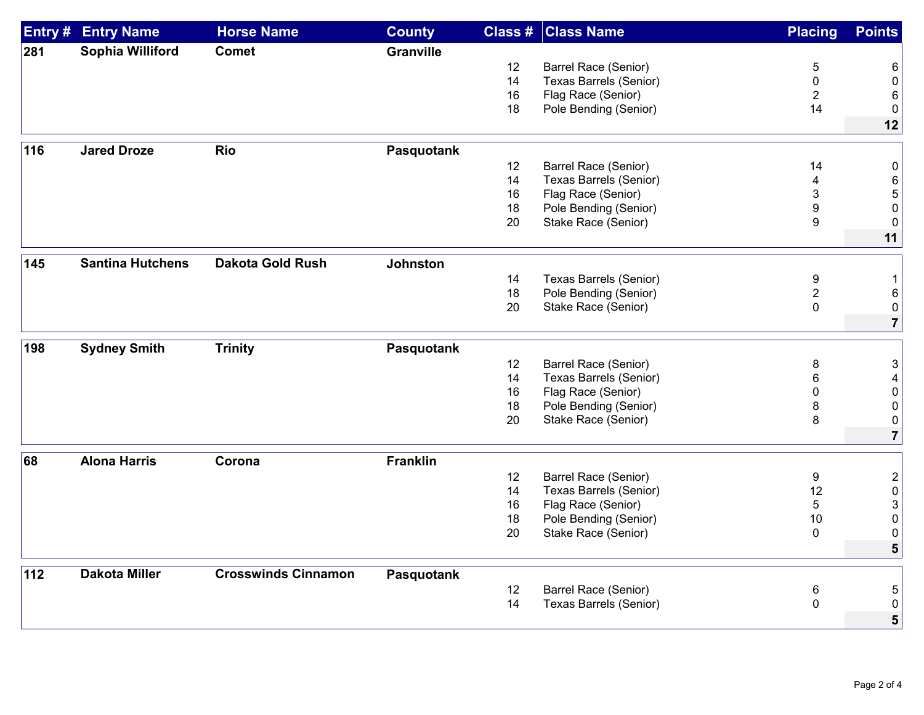| Entry # | <b>Entry Name</b>       | <b>Horse Name</b>          | <b>County</b>    | Class # | <b>Class Name</b>             | <b>Placing</b> | <b>Points</b>       |
|---------|-------------------------|----------------------------|------------------|---------|-------------------------------|----------------|---------------------|
| 281     | Sophia Williford        | <b>Comet</b>               | <b>Granville</b> |         |                               |                |                     |
|         |                         |                            |                  | 12      | <b>Barrel Race (Senior)</b>   | 5              | 6                   |
|         |                         |                            |                  | 14      | <b>Texas Barrels (Senior)</b> | 0              | $\boldsymbol{0}$    |
|         |                         |                            |                  | 16      | Flag Race (Senior)            | $\overline{2}$ | 6                   |
|         |                         |                            |                  | 18      | Pole Bending (Senior)         | 14             | 0                   |
|         |                         |                            |                  |         |                               |                | 12                  |
| 116     | <b>Jared Droze</b>      | <b>Rio</b>                 | Pasquotank       |         |                               |                |                     |
|         |                         |                            |                  | 12      | Barrel Race (Senior)          | 14             | 0                   |
|         |                         |                            |                  | 14      | <b>Texas Barrels (Senior)</b> | 4              |                     |
|         |                         |                            |                  | 16      |                               | 3              | 6                   |
|         |                         |                            |                  | 18      | Flag Race (Senior)            |                | 5<br>0              |
|         |                         |                            |                  |         | Pole Bending (Senior)         | 9              |                     |
|         |                         |                            |                  | 20      | Stake Race (Senior)           | 9              | $\mathbf 0$         |
|         |                         |                            |                  |         |                               |                | 11                  |
| 145     | <b>Santina Hutchens</b> | <b>Dakota Gold Rush</b>    | <b>Johnston</b>  |         |                               |                |                     |
|         |                         |                            |                  | 14      | <b>Texas Barrels (Senior)</b> | 9              | $\mathbf{1}$        |
|         |                         |                            |                  | 18      | Pole Bending (Senior)         | $\overline{c}$ | 6                   |
|         |                         |                            |                  | 20      | Stake Race (Senior)           | 0              | 0                   |
|         |                         |                            |                  |         |                               |                | $\overline{7}$      |
| 198     | <b>Sydney Smith</b>     | <b>Trinity</b>             | Pasquotank       |         |                               |                |                     |
|         |                         |                            |                  | 12      | Barrel Race (Senior)          | 8              | 3                   |
|         |                         |                            |                  | 14      | <b>Texas Barrels (Senior)</b> | 6              | 4                   |
|         |                         |                            |                  | 16      | Flag Race (Senior)            | $\Omega$       | $\mathbf 0$         |
|         |                         |                            |                  | 18      |                               |                | 0                   |
|         |                         |                            |                  | 20      | Pole Bending (Senior)         | 8<br>8         |                     |
|         |                         |                            |                  |         | Stake Race (Senior)           |                | 0<br>$\overline{7}$ |
|         |                         |                            |                  |         |                               |                |                     |
| 68      | <b>Alona Harris</b>     | Corona                     | <b>Franklin</b>  |         |                               |                |                     |
|         |                         |                            |                  | 12      | <b>Barrel Race (Senior)</b>   | 9              | $\overline{2}$      |
|         |                         |                            |                  | 14      | <b>Texas Barrels (Senior)</b> | 12             | $\boldsymbol{0}$    |
|         |                         |                            |                  | 16      | Flag Race (Senior)            | 5              | 3                   |
|         |                         |                            |                  | 18      | Pole Bending (Senior)         | 10             | 0                   |
|         |                         |                            |                  | 20      | Stake Race (Senior)           | $\pmb{0}$      | 0                   |
|         |                         |                            |                  |         |                               |                | 5                   |
| 112     | <b>Dakota Miller</b>    | <b>Crosswinds Cinnamon</b> | Pasquotank       |         |                               |                |                     |
|         |                         |                            |                  | 12      | Barrel Race (Senior)          | 6              | 5                   |
|         |                         |                            |                  | 14      | <b>Texas Barrels (Senior)</b> | $\pmb{0}$      | 0                   |
|         |                         |                            |                  |         |                               |                | 5                   |
|         |                         |                            |                  |         |                               |                |                     |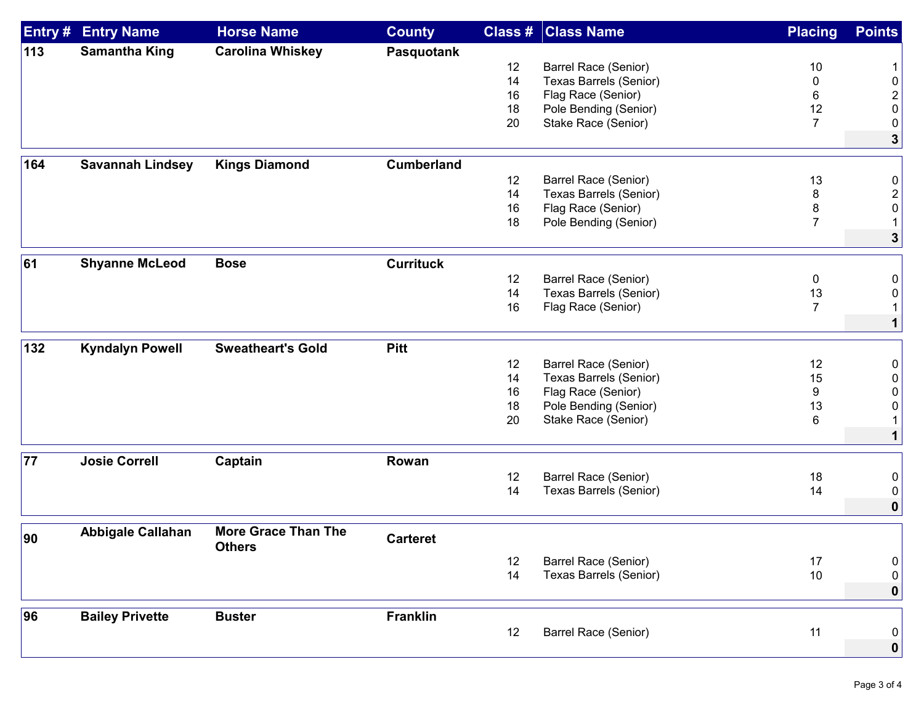| Entry # | <b>Entry Name</b>        | <b>Horse Name</b>          | <b>County</b>     | Class # | <b>Class Name</b>             | <b>Placing</b>      | <b>Points</b>                |
|---------|--------------------------|----------------------------|-------------------|---------|-------------------------------|---------------------|------------------------------|
| 113     | <b>Samantha King</b>     | <b>Carolina Whiskey</b>    | Pasquotank        |         |                               |                     |                              |
|         |                          |                            |                   | 12      | Barrel Race (Senior)          | 10                  |                              |
|         |                          |                            |                   | 14      | Texas Barrels (Senior)        | 0                   | 0                            |
|         |                          |                            |                   | 16      | Flag Race (Senior)            | 6                   | $\overline{\mathbf{c}}$      |
|         |                          |                            |                   | 18      | Pole Bending (Senior)         | 12                  | 0                            |
|         |                          |                            |                   | 20      | Stake Race (Senior)           | $\overline{7}$      | 0                            |
|         |                          |                            |                   |         |                               |                     | $\mathbf{3}$                 |
| 164     | <b>Savannah Lindsey</b>  | <b>Kings Diamond</b>       | <b>Cumberland</b> |         |                               |                     |                              |
|         |                          |                            |                   | 12      | Barrel Race (Senior)          | 13                  | 0                            |
|         |                          |                            |                   | 14      | <b>Texas Barrels (Senior)</b> | 8                   |                              |
|         |                          |                            |                   | 16      | Flag Race (Senior)            |                     | $\overline{\mathbf{c}}$<br>0 |
|         |                          |                            |                   | 18      |                               | 8<br>$\overline{7}$ | $\mathbf 1$                  |
|         |                          |                            |                   |         | Pole Bending (Senior)         |                     | $\mathbf{3}$                 |
|         |                          |                            |                   |         |                               |                     |                              |
| 61      | <b>Shyanne McLeod</b>    | <b>Bose</b>                | <b>Currituck</b>  |         |                               |                     |                              |
|         |                          |                            |                   | 12      | Barrel Race (Senior)          | 0                   | 0                            |
|         |                          |                            |                   | 14      | <b>Texas Barrels (Senior)</b> | 13                  | 0                            |
|         |                          |                            |                   | 16      | Flag Race (Senior)            | $\overline{7}$      | $\mathbf 1$                  |
|         |                          |                            |                   |         |                               |                     | $\mathbf{1}$                 |
| 132     | <b>Kyndalyn Powell</b>   | <b>Sweatheart's Gold</b>   | <b>Pitt</b>       |         |                               |                     |                              |
|         |                          |                            |                   | 12      | Barrel Race (Senior)          | 12                  | $\boldsymbol{0}$             |
|         |                          |                            |                   | 14      | Texas Barrels (Senior)        | 15                  | 0                            |
|         |                          |                            |                   | 16      | Flag Race (Senior)            | 9                   | 0                            |
|         |                          |                            |                   | 18      | Pole Bending (Senior)         | 13                  | 0                            |
|         |                          |                            |                   | 20      | Stake Race (Senior)           | 6                   |                              |
|         |                          |                            |                   |         |                               |                     | 1                            |
| 77      | <b>Josie Correll</b>     | Captain                    | Rowan             |         |                               |                     |                              |
|         |                          |                            |                   | 12      | Barrel Race (Senior)          | 18                  | 0                            |
|         |                          |                            |                   | 14      | <b>Texas Barrels (Senior)</b> | 14                  | 0                            |
|         |                          |                            |                   |         |                               |                     | 0                            |
|         | <b>Abbigale Callahan</b> | <b>More Grace Than The</b> |                   |         |                               |                     |                              |
| 90      |                          | <b>Others</b>              | <b>Carteret</b>   |         |                               |                     |                              |
|         |                          |                            |                   | 12      | Barrel Race (Senior)          | 17                  | $\boldsymbol{0}$             |
|         |                          |                            |                   | 14      | <b>Texas Barrels (Senior)</b> | $10$                | $\pmb{0}$                    |
|         |                          |                            |                   |         |                               |                     | 0                            |
| 96      | <b>Bailey Privette</b>   | <b>Buster</b>              | <b>Franklin</b>   |         |                               |                     |                              |
|         |                          |                            |                   | 12      | Barrel Race (Senior)          | 11                  | 0                            |
|         |                          |                            |                   |         |                               |                     | $\mathbf 0$                  |
|         |                          |                            |                   |         |                               |                     |                              |